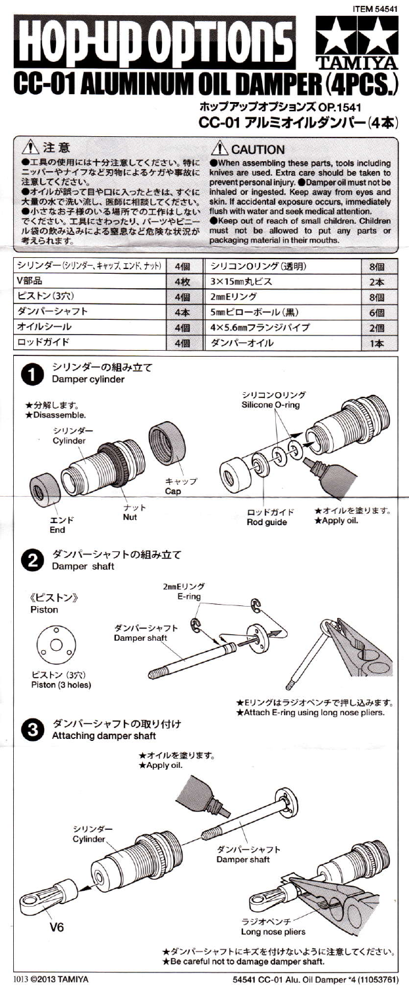## **ITEM 54541**  $\left[\frac{1}{2}(\mathbf{0})\mathbf{1}\frac{1}{2}\mathbf{1}\right]\mathbf{1}$  $\llbracket 1 \rrbracket$ CC-01 A R PEI ホップアップオプションズ OP.1541

CC-01 アルミオイルダンパー(4本)

## 八注意

エ具の使用には十分注意してください。特に ニッパーやナイフなど刃物によるケガや事故に<br>注意してください。

●オイルが誤って目や口に入ったときは、すぐに<br>人量の水で洗い流し、医師に相談してください。<br>●小さなお子様のいる場所での工作はしない でください。工具にさわったり、パーツやビ ル袋の飲み込みによる窒息など危険な状況が 考えられます。

## **A** CAUTION

When assembling these parts, tools including knives are used. Extra care should be taken to prevent personal injury. @Damper oil must not be<br>inhaled or ingested. Keep away from eyes and skin. If accidental exposure occurs, immediately flush with water and seek medical attention. Keep out of reach of small children. Children must not be allowed to put any parts or<br>packaging material in their mouths.

| シリンダー(シリンダー、キャップ、エンド、ナット) | 4個 | シリコン0リング(透明)   | 8個    |
|---------------------------|----|----------------|-------|
| V部品                       | 4枚 | 3×15mm丸ビス      | $2$ 本 |
| ピストン(3穴)                  | 4個 | 2mmEリング        | 8個    |
| ダンパーシャフト                  | 4本 | 5mmピローボール(黒)   | 6個    |
| オイルシール                    | 4個 | 4×5.6mmフランジパイプ | 2個    |
| ロッドガイド                    | 4個 | ダンパーオイル        | 1本    |



1013 ©2013 TAMIYA

54541 CC-01 Alu, Oil Damper \*4 (11053761)